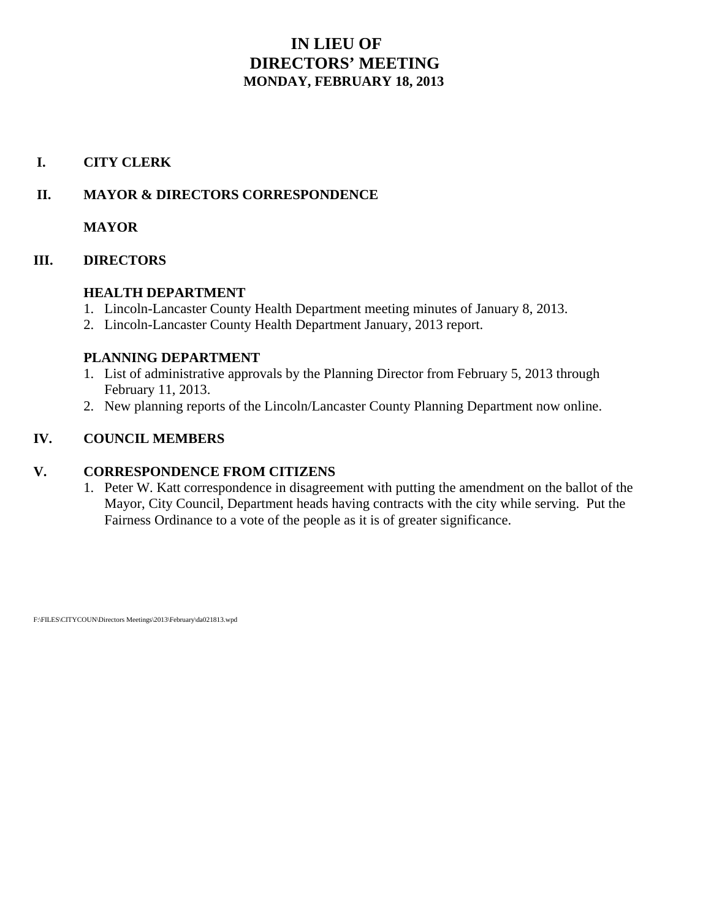## **IN LIEU OF DIRECTORS' MEETING MONDAY, FEBRUARY 18, 2013**

## **I. CITY CLERK**

## **II. MAYOR & DIRECTORS CORRESPONDENCE**

**MAYOR**

## **III. DIRECTORS**

## **HEALTH DEPARTMENT**

- 1. Lincoln-Lancaster County Health Department meeting minutes of January 8, 2013.
- 2. Lincoln-Lancaster County Health Department January, 2013 report.

## **PLANNING DEPARTMENT**

- 1. List of administrative approvals by the Planning Director from February 5, 2013 through February 11, 2013.
- 2. New planning reports of the Lincoln/Lancaster County Planning Department now online.

## **IV. COUNCIL MEMBERS**

## **V. CORRESPONDENCE FROM CITIZENS**

1. Peter W. Katt correspondence in disagreement with putting the amendment on the ballot of the Mayor, City Council, Department heads having contracts with the city while serving. Put the Fairness Ordinance to a vote of the people as it is of greater significance.

F:\FILES\CITYCOUN\Directors Meetings\2013\February\da021813.wpd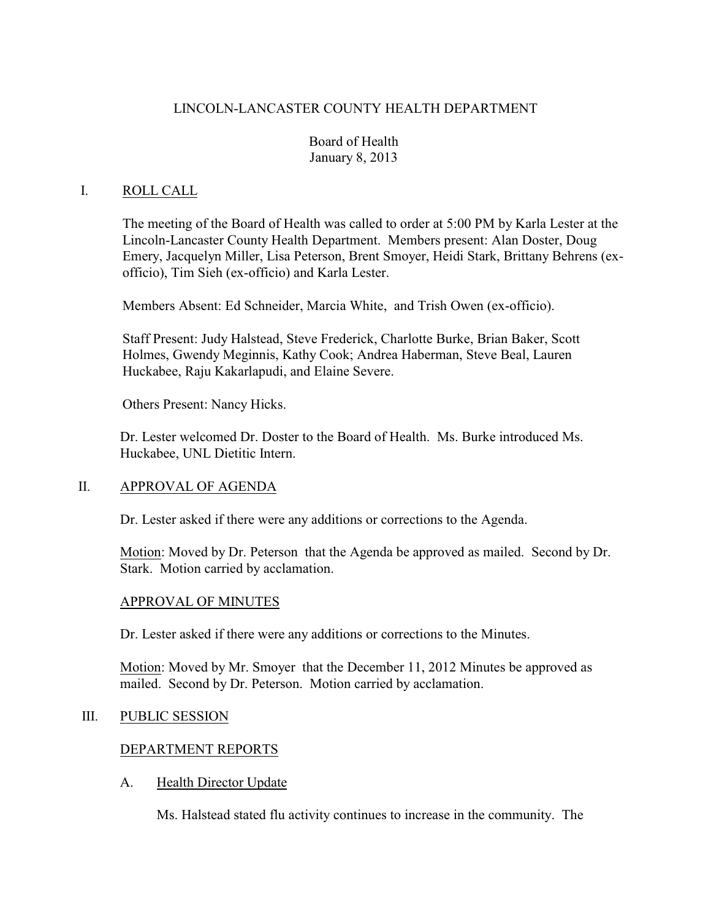## LINCOLN-LANCASTER COUNTY HEALTH DEPARTMENT

## Board of Health January 8, 2013

### I. ROLL CALL

The meeting of the Board of Health was called to order at 5:00 PM by Karla Lester at the Lincoln-Lancaster County Health Department. Members present: Alan Doster, Doug Emery, Jacquelyn Miller, Lisa Peterson, Brent Smoyer, Heidi Stark, Brittany Behrens (exofficio), Tim Sieh (ex-officio) and Karla Lester.

Members Absent: Ed Schneider, Marcia White, and Trish Owen (ex-officio).

Staff Present: Judy Halstead, Steve Frederick, Charlotte Burke, Brian Baker, Scott Holmes, Gwendy Meginnis, Kathy Cook; Andrea Haberman, Steve Beal, Lauren Huckabee, Raju Kakarlapudi, and Elaine Severe.

Others Present: Nancy Hicks.

Dr. Lester welcomed Dr. Doster to the Board of Health. Ms. Burke introduced Ms. Huckabee, UNL Dietitic Intern.

#### II. APPROVAL OF AGENDA

Dr. Lester asked if there were any additions or corrections to the Agenda.

Motion: Moved by Dr. Peterson that the Agenda be approved as mailed. Second by Dr. Stark. Motion carried by acclamation.

#### APPROVAL OF MINUTES

Dr. Lester asked if there were any additions or corrections to the Minutes.

Motion: Moved by Mr. Smoyer that the December 11, 2012 Minutes be approved as mailed. Second by Dr. Peterson. Motion carried by acclamation.

#### III. PUBLIC SESSION

#### DEPARTMENT REPORTS

#### A. Health Director Update

Ms. Halstead stated flu activity continues to increase in the community. The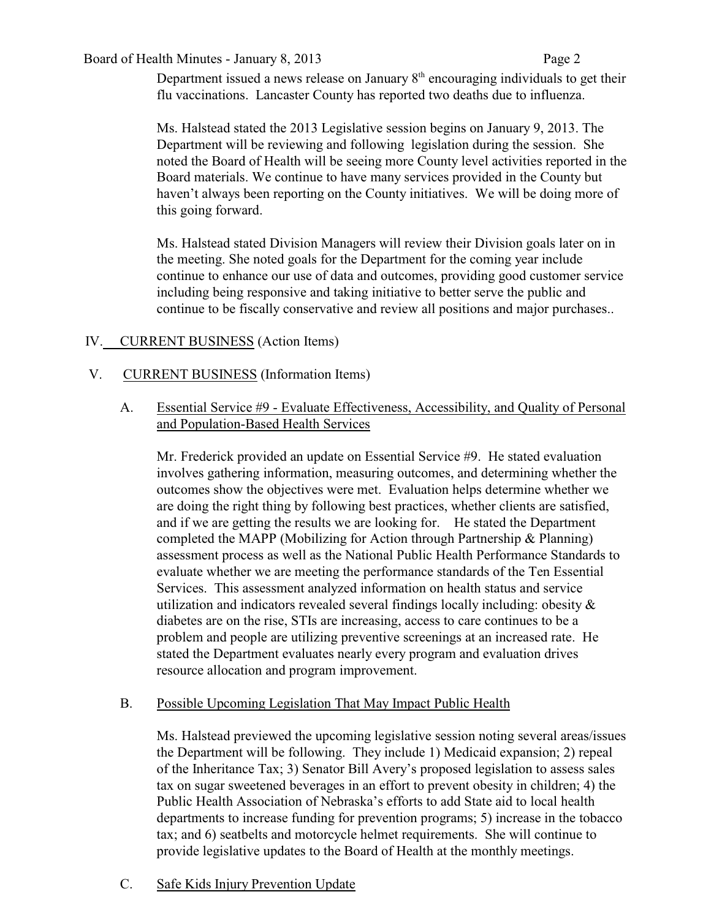#### Board of Health Minutes - January 8, 2013 Page 2

Department issued a news release on January  $8<sup>th</sup>$  encouraging individuals to get their flu vaccinations. Lancaster County has reported two deaths due to influenza.

Ms. Halstead stated the 2013 Legislative session begins on January 9, 2013. The Department will be reviewing and following legislation during the session. She noted the Board of Health will be seeing more County level activities reported in the Board materials. We continue to have many services provided in the County but haven't always been reporting on the County initiatives. We will be doing more of this going forward.

Ms. Halstead stated Division Managers will review their Division goals later on in the meeting. She noted goals for the Department for the coming year include continue to enhance our use of data and outcomes, providing good customer service including being responsive and taking initiative to better serve the public and continue to be fiscally conservative and review all positions and major purchases..

## IV. CURRENT BUSINESS (Action Items)

## V. CURRENT BUSINESS (Information Items)

A. Essential Service #9 - Evaluate Effectiveness, Accessibility, and Quality of Personal and Population-Based Health Services

Mr. Frederick provided an update on Essential Service #9. He stated evaluation involves gathering information, measuring outcomes, and determining whether the outcomes show the objectives were met. Evaluation helps determine whether we are doing the right thing by following best practices, whether clients are satisfied, and if we are getting the results we are looking for. He stated the Department completed the MAPP (Mobilizing for Action through Partnership & Planning) assessment process as well as the National Public Health Performance Standards to evaluate whether we are meeting the performance standards of the Ten Essential Services. This assessment analyzed information on health status and service utilization and indicators revealed several findings locally including: obesity & diabetes are on the rise, STIs are increasing, access to care continues to be a problem and people are utilizing preventive screenings at an increased rate. He stated the Department evaluates nearly every program and evaluation drives resource allocation and program improvement.

## B. Possible Upcoming Legislation That May Impact Public Health

Ms. Halstead previewed the upcoming legislative session noting several areas/issues the Department will be following. They include 1) Medicaid expansion; 2) repeal of the Inheritance Tax; 3) Senator Bill Avery's proposed legislation to assess sales tax on sugar sweetened beverages in an effort to prevent obesity in children; 4) the Public Health Association of Nebraska's efforts to add State aid to local health departments to increase funding for prevention programs; 5) increase in the tobacco tax; and 6) seatbelts and motorcycle helmet requirements. She will continue to provide legislative updates to the Board of Health at the monthly meetings.

C. Safe Kids Injury Prevention Update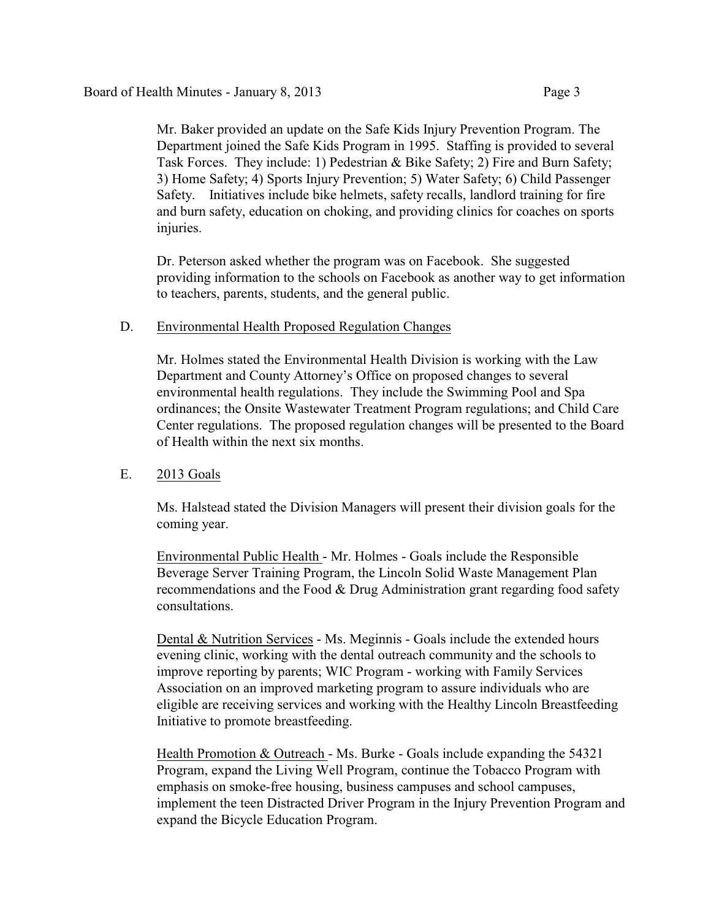Mr. Baker provided an update on the Safe Kids Injury Prevention Program. The Department joined the Safe Kids Program in 1995. Staffing is provided to several Task Forces. They include: 1) Pedestrian & Bike Safety; 2) Fire and Burn Safety; 3) Home Safety; 4) Sports Injury Prevention; 5) Water Safety; 6) Child Passenger Safety. Initiatives include bike helmets, safety recalls, landlord training for fire and burn safety, education on choking, and providing clinics for coaches on sports injuries.

Dr. Peterson asked whether the program was on Facebook. She suggested providing information to the schools on Facebook as another way to get information to teachers, parents, students, and the general public.

#### D. Environmental Health Proposed Regulation Changes

Mr. Holmes stated the Environmental Health Division is working with the Law Department and County Attorney's Office on proposed changes to several environmental health regulations. They include the Swimming Pool and Spa ordinances; the Onsite Wastewater Treatment Program regulations; and Child Care Center regulations. The proposed regulation changes will be presented to the Board of Health within the next six months.

#### E. 2013 Goals

Ms. Halstead stated the Division Managers will present their division goals for the coming year.

Environmental Public Health - Mr. Holmes - Goals include the Responsible Beverage Server Training Program, the Lincoln Solid Waste Management Plan recommendations and the Food & Drug Administration grant regarding food safety consultations.

Dental & Nutrition Services - Ms. Meginnis - Goals include the extended hours evening clinic, working with the dental outreach community and the schools to improve reporting by parents; WIC Program - working with Family Services Association on an improved marketing program to assure individuals who are eligible are receiving services and working with the Healthy Lincoln Breastfeeding Initiative to promote breastfeeding.

Health Promotion & Outreach - Ms. Burke - Goals include expanding the 54321 Program, expand the Living Well Program, continue the Tobacco Program with emphasis on smoke-free housing, business campuses and school campuses, implement the teen Distracted Driver Program in the Injury Prevention Program and expand the Bicycle Education Program.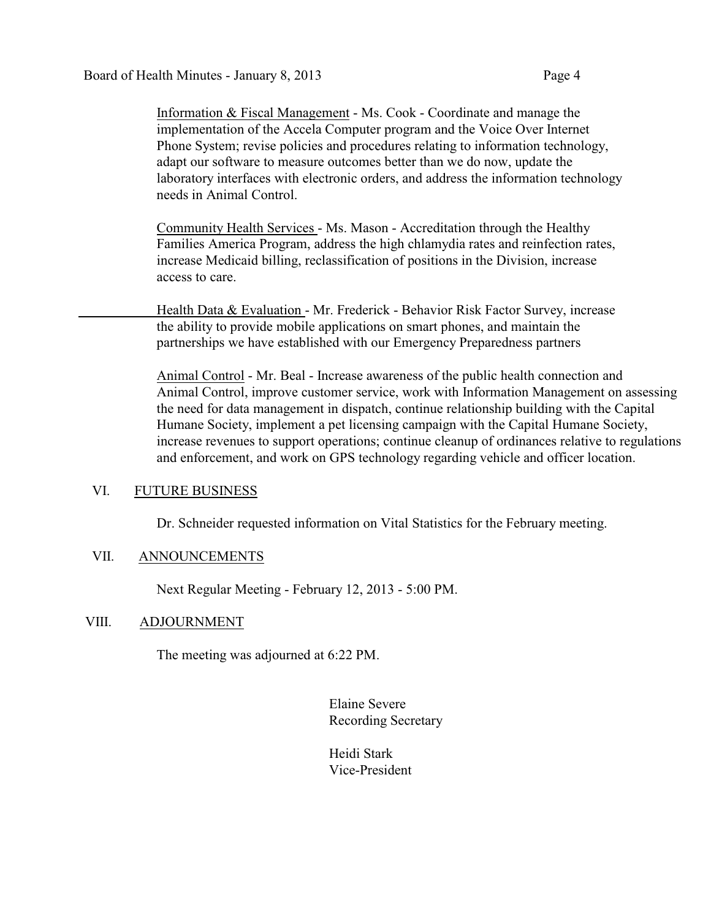Information & Fiscal Management - Ms. Cook - Coordinate and manage the implementation of the Accela Computer program and the Voice Over Internet Phone System; revise policies and procedures relating to information technology, adapt our software to measure outcomes better than we do now, update the laboratory interfaces with electronic orders, and address the information technology needs in Animal Control.

Community Health Services - Ms. Mason - Accreditation through the Healthy Families America Program, address the high chlamydia rates and reinfection rates, increase Medicaid billing, reclassification of positions in the Division, increase access to care.

Health Data & Evaluation - Mr. Frederick - Behavior Risk Factor Survey, increase the ability to provide mobile applications on smart phones, and maintain the partnerships we have established with our Emergency Preparedness partners

Animal Control - Mr. Beal - Increase awareness of the public health connection and Animal Control, improve customer service, work with Information Management on assessing the need for data management in dispatch, continue relationship building with the Capital Humane Society, implement a pet licensing campaign with the Capital Humane Society, increase revenues to support operations; continue cleanup of ordinances relative to regulations and enforcement, and work on GPS technology regarding vehicle and officer location.

#### VI. FUTURE BUSINESS

Dr. Schneider requested information on Vital Statistics for the February meeting.

#### VII. ANNOUNCEMENTS

Next Regular Meeting - February 12, 2013 - 5:00 PM.

#### VIII. ADJOURNMENT

The meeting was adjourned at 6:22 PM.

Elaine Severe Recording Secretary

Heidi Stark Vice-President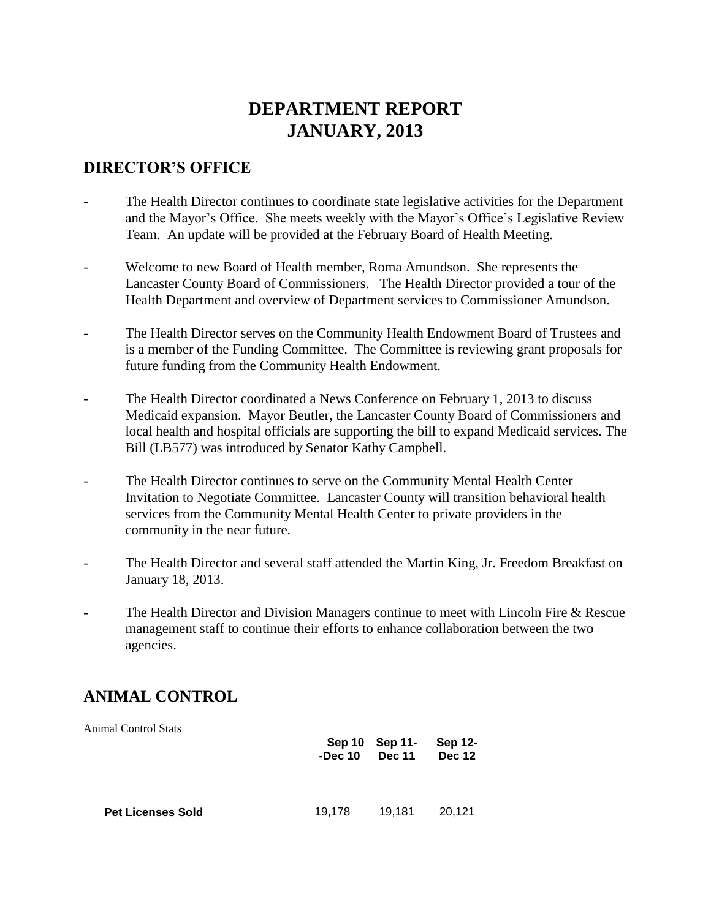# **DEPARTMENT REPORT JANUARY, 2013**

## **DIRECTOR'S OFFICE**

- The Health Director continues to coordinate state legislative activities for the Department and the Mayor's Office. She meets weekly with the Mayor's Office's Legislative Review Team. An update will be provided at the February Board of Health Meeting.
- Welcome to new Board of Health member, Roma Amundson. She represents the Lancaster County Board of Commissioners. The Health Director provided a tour of the Health Department and overview of Department services to Commissioner Amundson.
- The Health Director serves on the Community Health Endowment Board of Trustees and is a member of the Funding Committee. The Committee is reviewing grant proposals for future funding from the Community Health Endowment.
- The Health Director coordinated a News Conference on February 1, 2013 to discuss Medicaid expansion. Mayor Beutler, the Lancaster County Board of Commissioners and local health and hospital officials are supporting the bill to expand Medicaid services. The Bill (LB577) was introduced by Senator Kathy Campbell.
- The Health Director continues to serve on the Community Mental Health Center Invitation to Negotiate Committee. Lancaster County will transition behavioral health services from the Community Mental Health Center to private providers in the community in the near future.
- The Health Director and several staff attended the Martin King, Jr. Freedom Breakfast on January 18, 2013.
- The Health Director and Division Managers continue to meet with Lincoln Fire & Rescue management staff to continue their efforts to enhance collaboration between the two agencies.

# **ANIMAL CONTROL**

| <b>Animal Control Stats</b> | -Dec $10$ | Sep 10 Sep 11-<br><b>Dec 11</b> | Sep 12-<br><b>Dec 12</b> |
|-----------------------------|-----------|---------------------------------|--------------------------|
| <b>Pet Licenses Sold</b>    | 19,178    | 19.181                          | 20,121                   |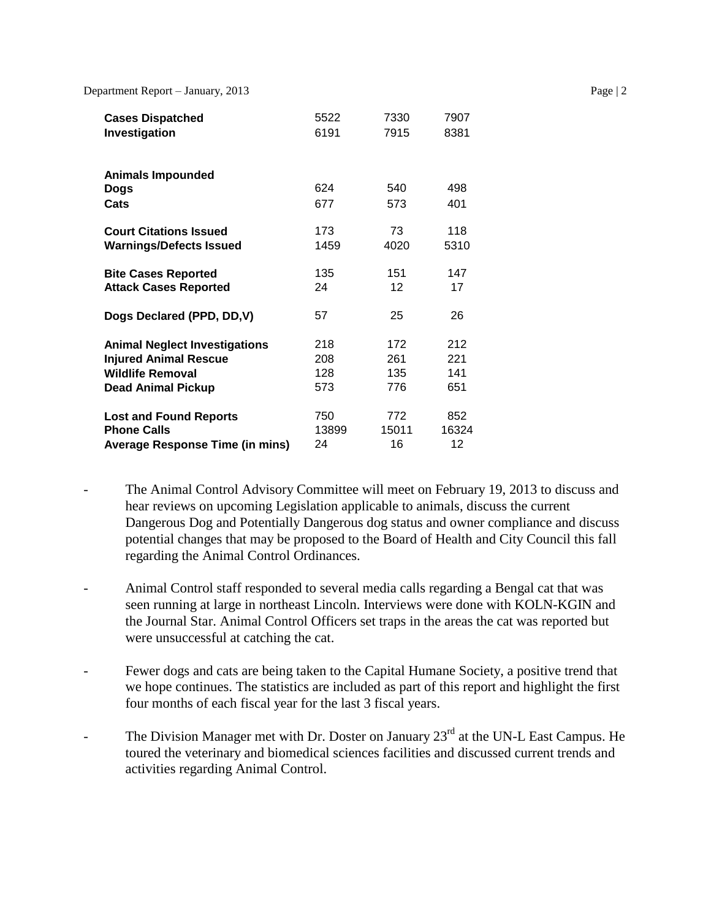| <b>Cases Dispatched</b>                | 5522  | 7330              | 7907  |
|----------------------------------------|-------|-------------------|-------|
| Investigation                          | 6191  | 7915              | 8381  |
| <b>Animals Impounded</b><br>Dogs       | 624   | 540               | 498   |
| Cats                                   | 677   | 573               | 401   |
| <b>Court Citations Issued</b>          | 173   | 73                | 118   |
| <b>Warnings/Defects Issued</b>         | 1459  | 4020              | 5310  |
| <b>Bite Cases Reported</b>             | 135   | 151               | 147   |
| <b>Attack Cases Reported</b>           | 24    | $12 \overline{ }$ | 17    |
| Dogs Declared (PPD, DD, V)             | 57    | 25                | 26    |
| <b>Animal Neglect Investigations</b>   | 218   | 172               | 212   |
| <b>Injured Animal Rescue</b>           | 208   | 261               | 221   |
| <b>Wildlife Removal</b>                | 128   | 135               | 141   |
| <b>Dead Animal Pickup</b>              | 573   | 776               | 651   |
| <b>Lost and Found Reports</b>          | 750   | 772               | 852   |
| <b>Phone Calls</b>                     | 13899 | 15011             | 16324 |
| <b>Average Response Time (in mins)</b> | 24    | 16                | 12    |

- The Animal Control Advisory Committee will meet on February 19, 2013 to discuss and hear reviews on upcoming Legislation applicable to animals, discuss the current Dangerous Dog and Potentially Dangerous dog status and owner compliance and discuss potential changes that may be proposed to the Board of Health and City Council this fall regarding the Animal Control Ordinances.
- Animal Control staff responded to several media calls regarding a Bengal cat that was seen running at large in northeast Lincoln. Interviews were done with KOLN-KGIN and the Journal Star. Animal Control Officers set traps in the areas the cat was reported but were unsuccessful at catching the cat.
- Fewer dogs and cats are being taken to the Capital Humane Society, a positive trend that we hope continues. The statistics are included as part of this report and highlight the first four months of each fiscal year for the last 3 fiscal years.
- The Division Manager met with Dr. Doster on January  $23<sup>rd</sup>$  at the UN-L East Campus. He toured the veterinary and biomedical sciences facilities and discussed current trends and activities regarding Animal Control.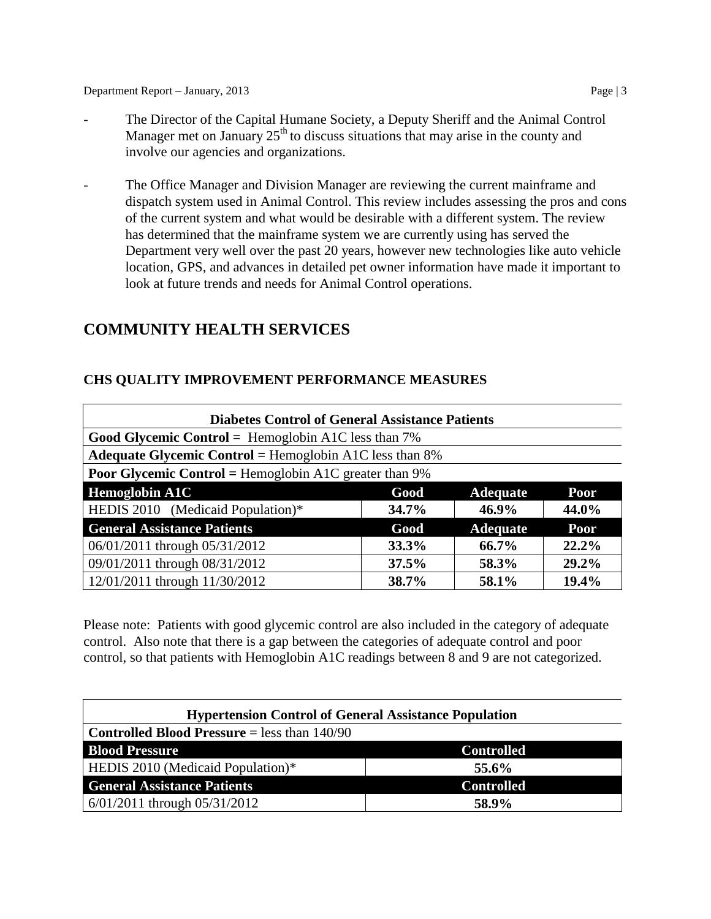- The Director of the Capital Humane Society, a Deputy Sheriff and the Animal Control Manager met on January  $25<sup>th</sup>$  to discuss situations that may arise in the county and involve our agencies and organizations.
- The Office Manager and Division Manager are reviewing the current mainframe and dispatch system used in Animal Control. This review includes assessing the pros and cons of the current system and what would be desirable with a different system. The review has determined that the mainframe system we are currently using has served the Department very well over the past 20 years, however new technologies like auto vehicle location, GPS, and advances in detailed pet owner information have made it important to look at future trends and needs for Animal Control operations.

## **COMMUNITY HEALTH SERVICES**

## **CHS QUALITY IMPROVEMENT PERFORMANCE MEASURES**

| <b>Diabetes Control of General Assistance Patients</b>        |       |                 |             |
|---------------------------------------------------------------|-------|-----------------|-------------|
| Good Glycemic Control = Hemoglobin A1C less than $7\%$        |       |                 |             |
| Adequate Glycemic Control = Hemoglobin A1C less than $8\%$    |       |                 |             |
| <b>Poor Glycemic Control = Hemoglobin A1C greater than 9%</b> |       |                 |             |
| <b>Hemoglobin A1C</b>                                         | Good  | <b>Adequate</b> | <b>Poor</b> |
| HEDIS 2010 (Medicaid Population)*                             | 34.7% | $46.9\%$        | 44.0%       |
| <b>General Assistance Patients</b>                            | Good  | <b>Adequate</b> | <b>Poor</b> |
| 06/01/2011 through 05/31/2012                                 | 33.3% | 66.7%           | 22.2%       |
| 09/01/2011 through 08/31/2012                                 | 37.5% | 58.3%           | 29.2%       |
| 12/01/2011 through 11/30/2012                                 | 38.7% | 58.1%           | 19.4%       |

Please note: Patients with good glycemic control are also included in the category of adequate control. Also note that there is a gap between the categories of adequate control and poor control, so that patients with Hemoglobin A1C readings between 8 and 9 are not categorized.

| <b>Hypertension Control of General Assistance Population</b> |                   |  |
|--------------------------------------------------------------|-------------------|--|
| <b>Controlled Blood Pressure</b> = less than $140/90$        |                   |  |
| <b>Blood Pressure</b>                                        | <b>Controlled</b> |  |
| HEDIS 2010 (Medicaid Population)*                            | 55.6%             |  |
| <b>General Assistance Patients</b>                           | <b>Controlled</b> |  |
| $6/01/2011$ through $05/31/2012$                             | 58.9%             |  |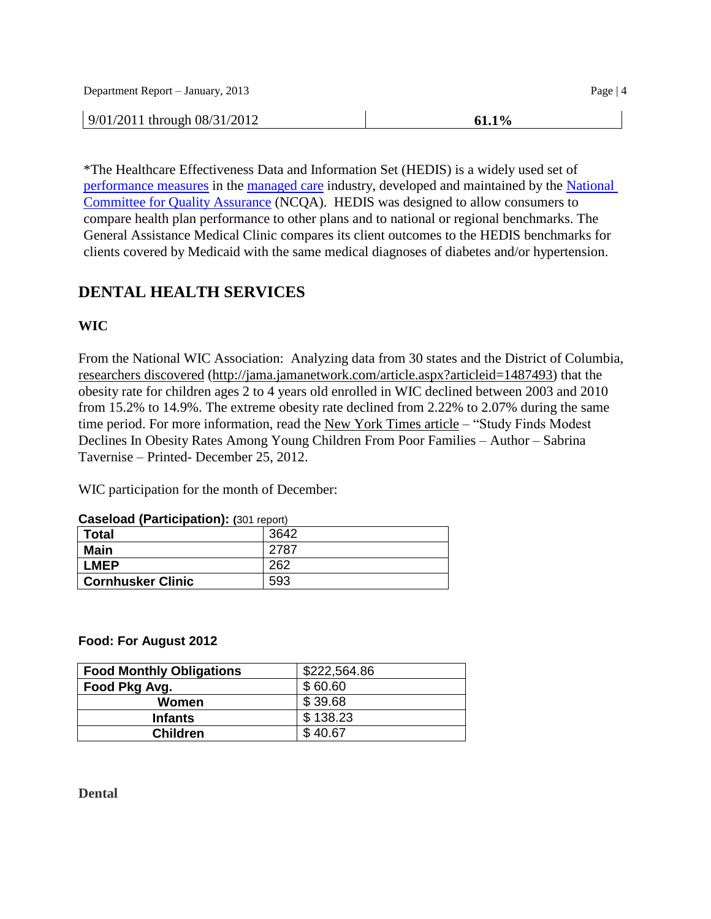| Department Report – January, 2013 | Page $ 4 $ |
|-----------------------------------|------------|
| $9/01/2011$ through $08/31/2012$  | 61.1%      |

\*The Healthcare Effectiveness Data and Information Set (HEDIS) is a widely used set of [performance measures](http://en.wikipedia.org/wiki/Performance_measurement) in the [managed care](http://en.wikipedia.org/wiki/Managed_care) industry, developed and maintained by the [National](http://en.wikipedia.org/wiki/National_Committee_for_Quality_Assurance)  [Committee for Quality Assurance](http://en.wikipedia.org/wiki/National_Committee_for_Quality_Assurance) (NCQA). HEDIS was designed to allow consumers to compare health plan performance to other plans and to national or regional benchmarks. The General Assistance Medical Clinic compares its client outcomes to the HEDIS benchmarks for clients covered by Medicaid with the same medical diagnoses of diabetes and/or hypertension.

# **DENTAL HEALTH SERVICES**

## **WIC**

From the National WIC Association: Analyzing data from 30 states and the District of Columbia, [researchers discovered](http://paracom.paramountcommunication.com/ct/10887227:14175108315:m:1:45485810:CA08FED03DFB9BEE7A93D212FBFAC5CD:r) [\(http://jama.jamanetwork.com/article.aspx?articleid=1487493\)](http://jama.jamanetwork.com/article.aspx?articleid=1487493) that the obesity rate for children ages 2 to 4 years old enrolled in WIC declined between 2003 and 2010 from 15.2% to 14.9%. The extreme obesity rate declined from 2.22% to 2.07% during the same time period. For more information, read the [New York Times article](http://paracom.paramountcommunication.com/ct/10887228:14175108315:m:1:45485810:CA08FED03DFB9BEE7A93D212FBFAC5CD:r) – "Study Finds Modest Declines In Obesity Rates Among Young Children From Poor Families – Author – Sabrina Tavernise – Printed- December 25, 2012.

WIC participation for the month of December:

| Cascibau (Farticipation). (301 report) |      |
|----------------------------------------|------|
| <b>Total</b>                           | 3642 |
| <b>Main</b>                            | 2787 |
| <b>LMEP</b>                            | 262  |
| <b>Cornhusker Clinic</b>               | 593  |

#### **Caseload (Participation): (**301 report)

#### **Food: For August 2012**

| <b>Food Monthly Obligations</b> | \$222,564.86 |
|---------------------------------|--------------|
| Food Pkg Avg.                   | \$60.60      |
| Women                           | \$39.68      |
| <b>Infants</b>                  | \$138.23     |
| <b>Children</b>                 | \$40.67      |

**Dental**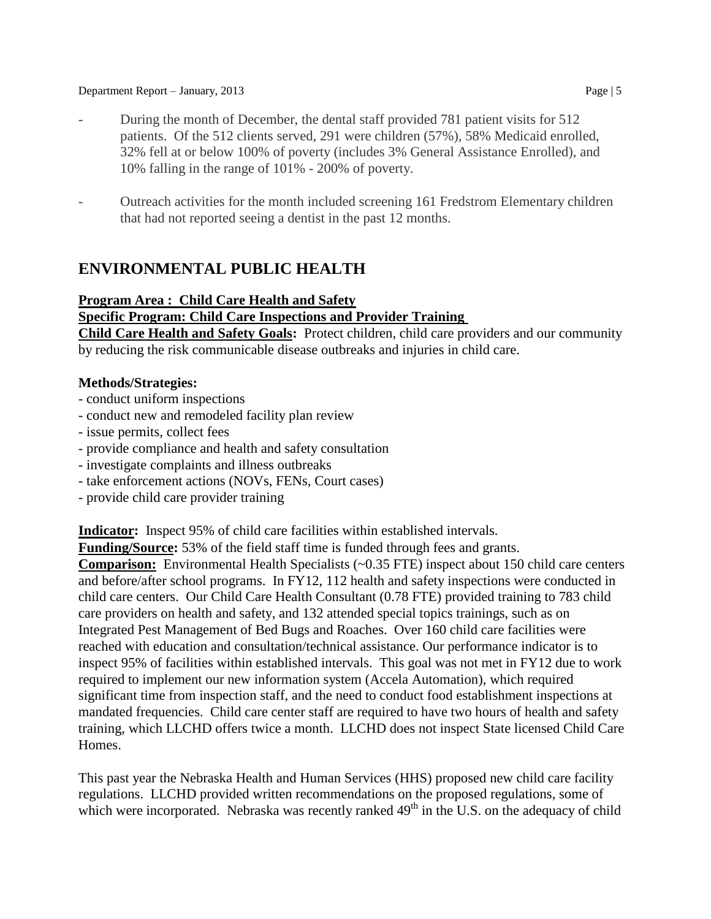- During the month of December, the dental staff provided 781 patient visits for 512 patients. Of the 512 clients served, 291 were children (57%), 58% Medicaid enrolled, 32% fell at or below 100% of poverty (includes 3% General Assistance Enrolled), and 10% falling in the range of 101% - 200% of poverty.
- Outreach activities for the month included screening 161 Fredstrom Elementary children that had not reported seeing a dentist in the past 12 months.

## **ENVIRONMENTAL PUBLIC HEALTH**

## **Program Area : Child Care Health and Safety**

#### **Specific Program: Child Care Inspections and Provider Training**

**Child Care Health and Safety Goals:** Protect children, child care providers and our community by reducing the risk communicable disease outbreaks and injuries in child care.

#### **Methods/Strategies:**

- conduct uniform inspections
- conduct new and remodeled facility plan review
- issue permits, collect fees
- provide compliance and health and safety consultation
- investigate complaints and illness outbreaks
- take enforcement actions (NOVs, FENs, Court cases)
- provide child care provider training

**Indicator:** Inspect 95% of child care facilities within established intervals.

**Funding/Source:** 53% of the field staff time is funded through fees and grants.

**Comparison:** Environmental Health Specialists (~0.35 FTE) inspect about 150 child care centers and before/after school programs. In FY12, 112 health and safety inspections were conducted in child care centers. Our Child Care Health Consultant (0.78 FTE) provided training to 783 child care providers on health and safety, and 132 attended special topics trainings, such as on Integrated Pest Management of Bed Bugs and Roaches. Over 160 child care facilities were reached with education and consultation/technical assistance. Our performance indicator is to inspect 95% of facilities within established intervals. This goal was not met in FY12 due to work required to implement our new information system (Accela Automation), which required significant time from inspection staff, and the need to conduct food establishment inspections at mandated frequencies. Child care center staff are required to have two hours of health and safety training, which LLCHD offers twice a month. LLCHD does not inspect State licensed Child Care Homes.

This past year the Nebraska Health and Human Services (HHS) proposed new child care facility regulations. LLCHD provided written recommendations on the proposed regulations, some of which were incorporated. Nebraska was recently ranked  $49<sup>th</sup>$  in the U.S. on the adequacy of child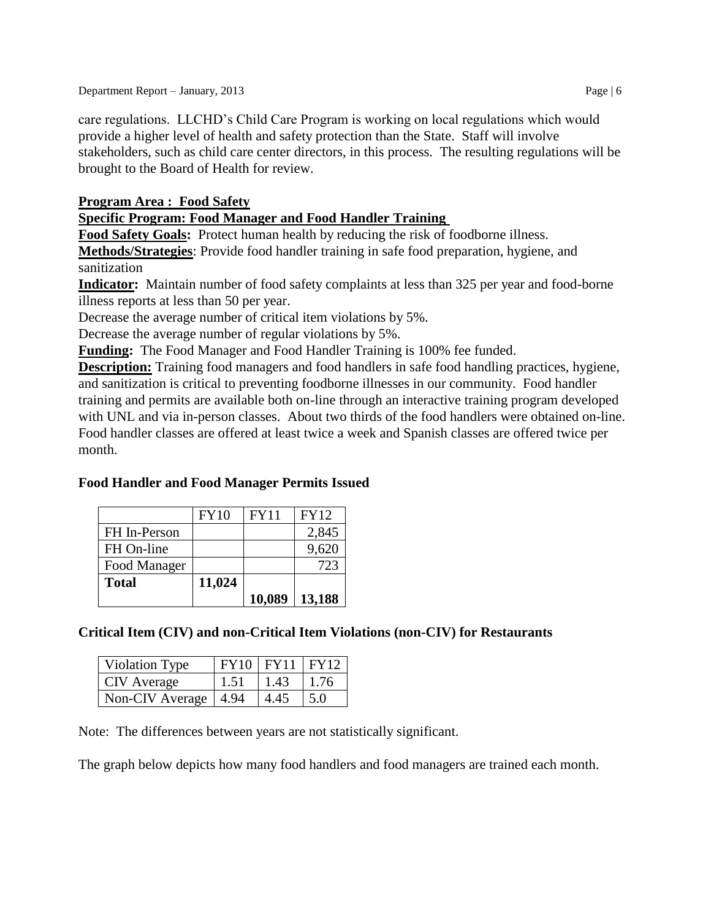care regulations. LLCHD's Child Care Program is working on local regulations which would provide a higher level of health and safety protection than the State. Staff will involve stakeholders, such as child care center directors, in this process. The resulting regulations will be brought to the Board of Health for review.

## **Program Area : Food Safety**

## **Specific Program: Food Manager and Food Handler Training**

**Food Safety Goals:** Protect human health by reducing the risk of foodborne illness.

**Methods/Strategies**: Provide food handler training in safe food preparation, hygiene, and sanitization

**Indicator:** Maintain number of food safety complaints at less than 325 per year and food-borne illness reports at less than 50 per year.

Decrease the average number of critical item violations by 5%.

Decrease the average number of regular violations by 5%.

**Funding:** The Food Manager and Food Handler Training is 100% fee funded.

**Description:** Training food managers and food handlers in safe food handling practices, hygiene, and sanitization is critical to preventing foodborne illnesses in our community. Food handler training and permits are available both on-line through an interactive training program developed with UNL and via in-person classes. About two thirds of the food handlers were obtained on-line. Food handler classes are offered at least twice a week and Spanish classes are offered twice per month.

## **Food Handler and Food Manager Permits Issued**

|              | FY10   | <b>FY11</b> | <b>FY12</b> |
|--------------|--------|-------------|-------------|
| FH In-Person |        |             | 2,845       |
| FH On-line   |        |             | 9,620       |
| Food Manager |        |             | 723         |
| <b>Total</b> | 11,024 |             |             |
|              |        | 10,089      | 13,188      |

## **Critical Item (CIV) and non-Critical Item Violations (non-CIV) for Restaurants**

| Violation Type         |      | $FY10$ $FY11$ $FY12$ |      |
|------------------------|------|----------------------|------|
| CIV Average            | 1.51 | 1.43                 | 1.76 |
| Non-CIV Average   4.94 |      | 4.45                 | 5.0  |

Note: The differences between years are not statistically significant.

The graph below depicts how many food handlers and food managers are trained each month.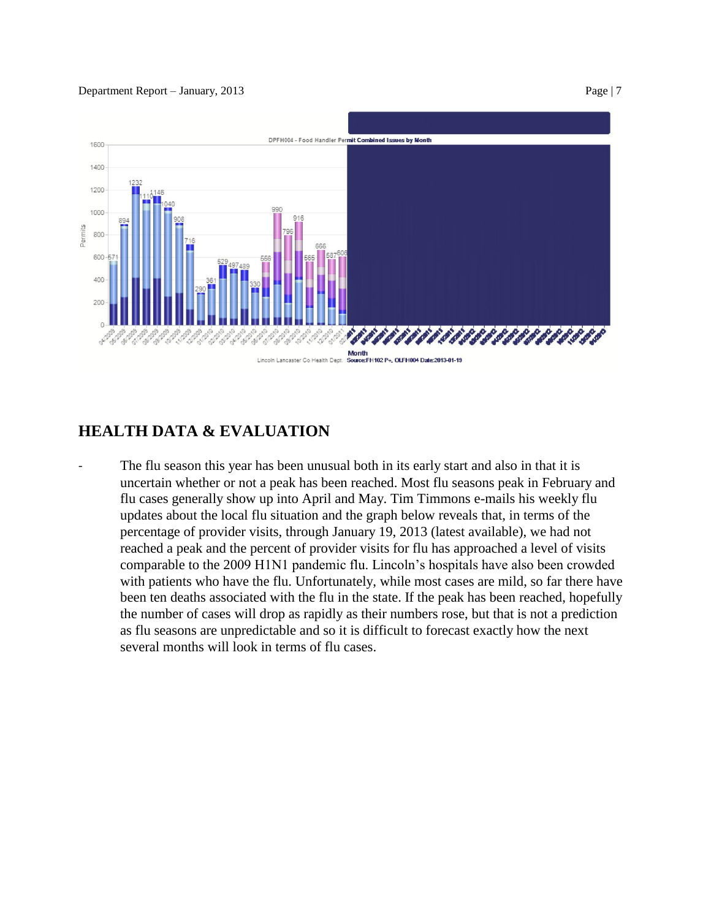

# **HEALTH DATA & EVALUATION**

The flu season this year has been unusual both in its early start and also in that it is uncertain whether or not a peak has been reached. Most flu seasons peak in February and flu cases generally show up into April and May. Tim Timmons e-mails his weekly flu updates about the local flu situation and the graph below reveals that, in terms of the percentage of provider visits, through January 19, 2013 (latest available), we had not reached a peak and the percent of provider visits for flu has approached a level of visits comparable to the 2009 H1N1 pandemic flu. Lincoln's hospitals have also been crowded with patients who have the flu. Unfortunately, while most cases are mild, so far there have been ten deaths associated with the flu in the state. If the peak has been reached, hopefully the number of cases will drop as rapidly as their numbers rose, but that is not a prediction as flu seasons are unpredictable and so it is difficult to forecast exactly how the next several months will look in terms of flu cases.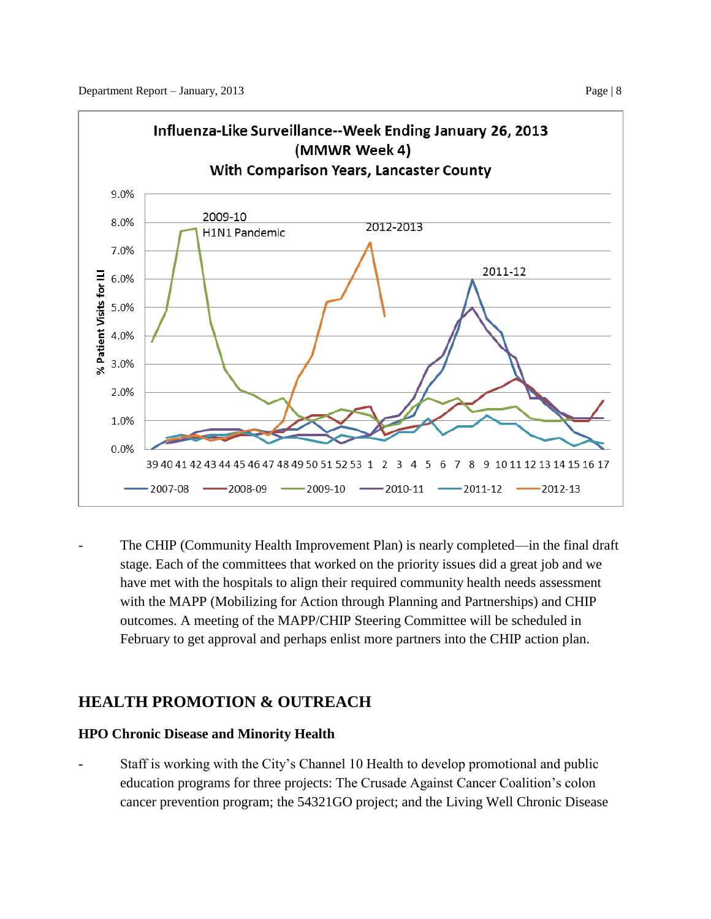

The CHIP (Community Health Improvement Plan) is nearly completed—in the final draft stage. Each of the committees that worked on the priority issues did a great job and we have met with the hospitals to align their required community health needs assessment with the MAPP (Mobilizing for Action through Planning and Partnerships) and CHIP outcomes. A meeting of the MAPP/CHIP Steering Committee will be scheduled in February to get approval and perhaps enlist more partners into the CHIP action plan.

# **HEALTH PROMOTION & OUTREACH**

## **HPO Chronic Disease and Minority Health**

**-** Staff is working with the City's Channel 10 Health to develop promotional and public education programs for three projects: The Crusade Against Cancer Coalition's colon cancer prevention program; the 54321GO project; and the Living Well Chronic Disease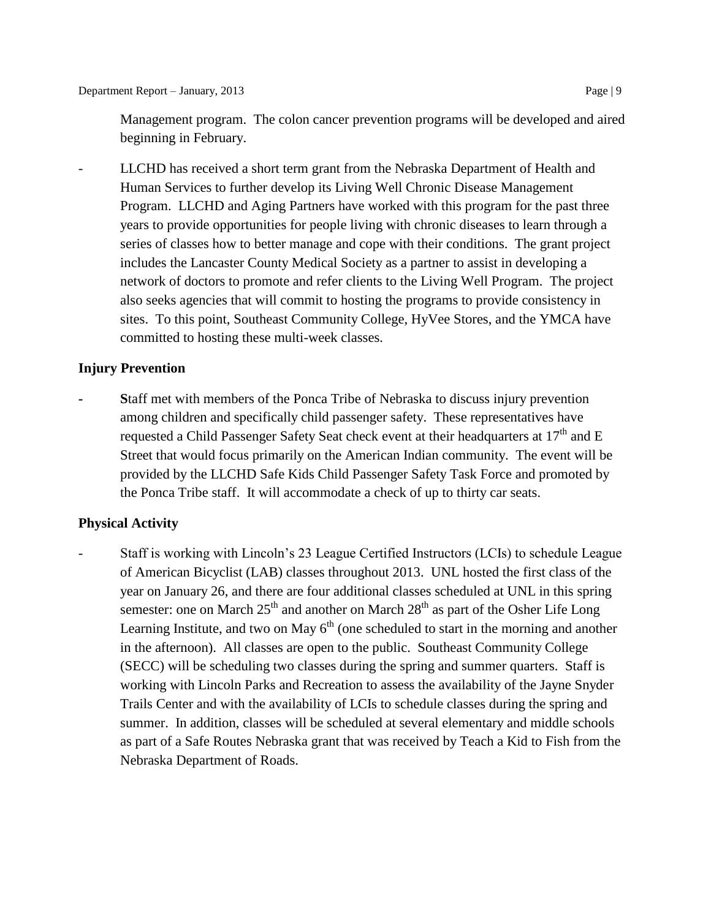Management program. The colon cancer prevention programs will be developed and aired beginning in February.

- LLCHD has received a short term grant from the Nebraska Department of Health and Human Services to further develop its Living Well Chronic Disease Management Program. LLCHD and Aging Partners have worked with this program for the past three years to provide opportunities for people living with chronic diseases to learn through a series of classes how to better manage and cope with their conditions. The grant project includes the Lancaster County Medical Society as a partner to assist in developing a network of doctors to promote and refer clients to the Living Well Program. The project also seeks agencies that will commit to hosting the programs to provide consistency in sites. To this point, Southeast Community College, HyVee Stores, and the YMCA have committed to hosting these multi-week classes.

## **Injury Prevention**

**- S**taff met with members of the Ponca Tribe of Nebraska to discuss injury prevention among children and specifically child passenger safety. These representatives have requested a Child Passenger Safety Seat check event at their headquarters at  $17<sup>th</sup>$  and E Street that would focus primarily on the American Indian community. The event will be provided by the LLCHD Safe Kids Child Passenger Safety Task Force and promoted by the Ponca Tribe staff. It will accommodate a check of up to thirty car seats.

## **Physical Activity**

- Staff is working with Lincoln's 23 League Certified Instructors (LCIs) to schedule League of American Bicyclist (LAB) classes throughout 2013. UNL hosted the first class of the year on January 26, and there are four additional classes scheduled at UNL in this spring semester: one on March  $25<sup>th</sup>$  and another on March  $28<sup>th</sup>$  as part of the Osher Life Long Learning Institute, and two on May  $6<sup>th</sup>$  (one scheduled to start in the morning and another in the afternoon). All classes are open to the public. Southeast Community College (SECC) will be scheduling two classes during the spring and summer quarters. Staff is working with Lincoln Parks and Recreation to assess the availability of the Jayne Snyder Trails Center and with the availability of LCIs to schedule classes during the spring and summer. In addition, classes will be scheduled at several elementary and middle schools as part of a Safe Routes Nebraska grant that was received by Teach a Kid to Fish from the Nebraska Department of Roads.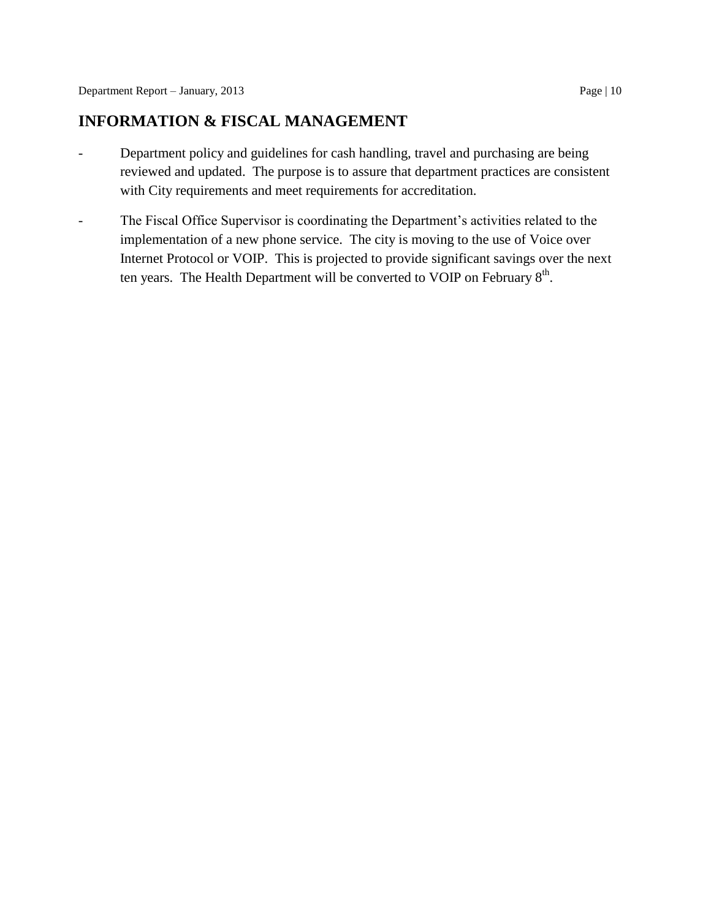## **INFORMATION & FISCAL MANAGEMENT**

- Department policy and guidelines for cash handling, travel and purchasing are being reviewed and updated. The purpose is to assure that department practices are consistent with City requirements and meet requirements for accreditation.
- The Fiscal Office Supervisor is coordinating the Department's activities related to the implementation of a new phone service. The city is moving to the use of Voice over Internet Protocol or VOIP. This is projected to provide significant savings over the next ten years. The Health Department will be converted to VOIP on February  $8<sup>th</sup>$ .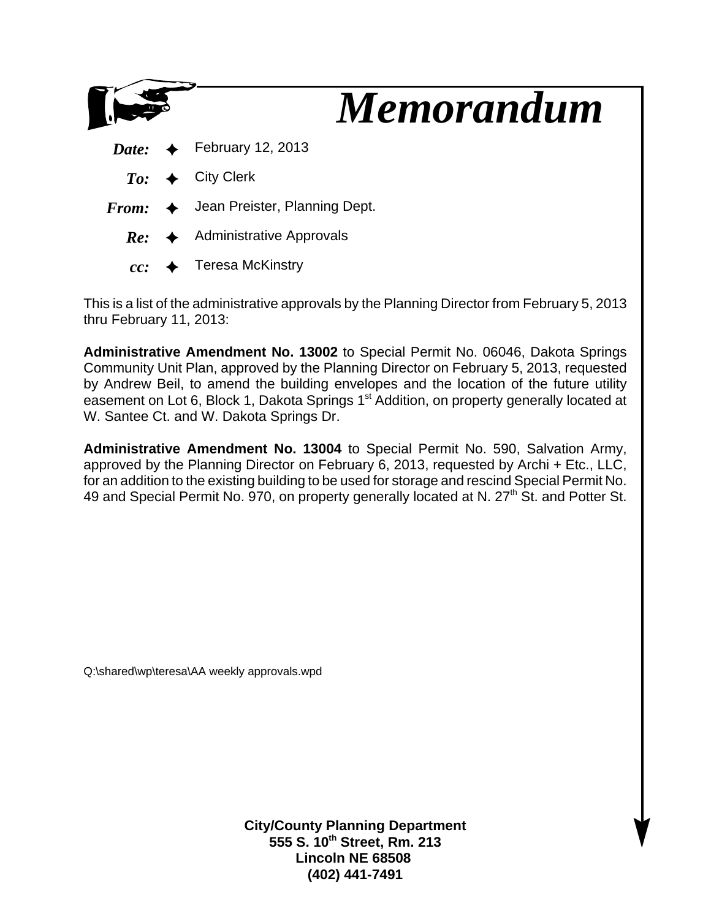

This is a list of the administrative approvals by the Planning Director from February 5, 2013 thru February 11, 2013:

**Administrative Amendment No. 13002** to Special Permit No. 06046, Dakota Springs Community Unit Plan, approved by the Planning Director on February 5, 2013, requested by Andrew Beil, to amend the building envelopes and the location of the future utility easement on Lot 6, Block 1, Dakota Springs 1<sup>st</sup> Addition, on property generally located at W. Santee Ct. and W. Dakota Springs Dr.

**Administrative Amendment No. 13004** to Special Permit No. 590, Salvation Army, approved by the Planning Director on February 6, 2013, requested by Archi + Etc., LLC, for an addition to the existing building to be used for storage and rescind Special Permit No. 49 and Special Permit No. 970, on property generally located at N. 27<sup>th</sup> St. and Potter St.

Q:\shared\wp\teresa\AA weekly approvals.wpd

**City/County Planning Department 555 S. 10th Street, Rm. 213 Lincoln NE 68508 (402) 441-7491**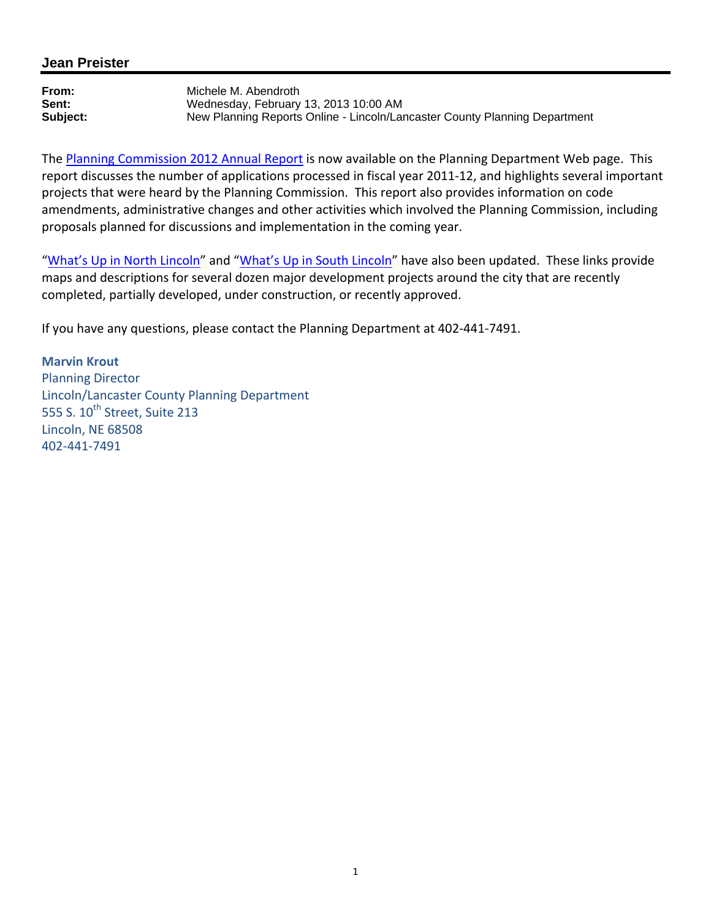### **Jean Preister**

**From:** Michele M. Abendroth<br> **Sent:** Wednesdav. February **Sent:** Wednesday, February 13, 2013 10:00 AM **Subject:** New Planning Reports Online - Lincoln/Lancaster County Planning Department

The Planning Commission 2012 Annual Report is now available on the Planning Department Web page. This report discusses the number of applications processed in fiscal year 2011-12, and highlights several important projects that were heard by the Planning Commission. This report also provides information on code amendments, administrative changes and other activities which involved the Planning Commission, including proposals planned for discussions and implementation in the coming year.

"What's Up in North Lincoln" and "What's Up in South Lincoln" have also been updated. These links provide maps and descriptions for several dozen major development projects around the city that are recently completed, partially developed, under construction, or recently approved.

If you have any questions, please contact the Planning Department at 402-441-7491.

**Marvin Krout**  Planning Director Lincoln/Lancaster County Planning Department 555 S. 10<sup>th</sup> Street, Suite 213 Lincoln, NE 68508 402-441-7491